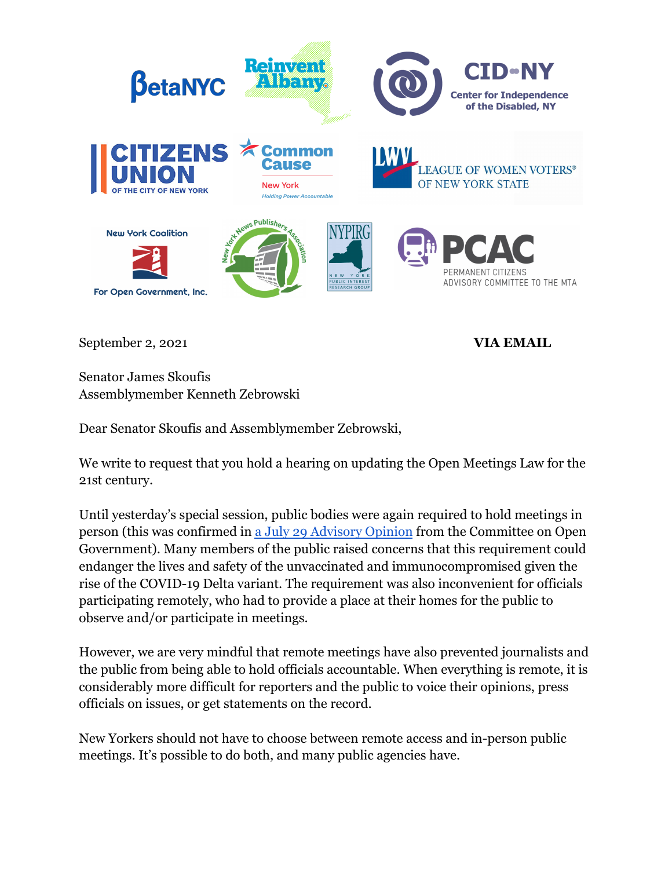

September 2, 2021 **VIA EMAIL** 

Senator James Skoufis Assemblymember Kenneth Zebrowski

Dear Senator Skoufis and Assemblymember Zebrowski,

We write to request that you hold a hearing on updating the Open Meetings Law for the 21st century.

Until yesterday's special session, public bodies were again required to hold meetings in person (this was confirmed in [a July 29 Advisory Opinion](https://opengovernment.ny.gov/system/files/documents/2021/08/kaehny-reinvent-albany-oml-ao.pdf) from the Committee on Open Government). Many members of the public raised concerns that this requirement could endanger the lives and safety of the unvaccinated and immunocompromised given the rise of the COVID-19 Delta variant. The requirement was also inconvenient for officials participating remotely, who had to provide a place at their homes for the public to observe and/or participate in meetings.

However, we are very mindful that remote meetings have also prevented journalists and the public from being able to hold officials accountable. When everything is remote, it is considerably more difficult for reporters and the public to voice their opinions, press officials on issues, or get statements on the record.

New Yorkers should not have to choose between remote access and in-person public meetings. It's possible to do both, and many public agencies have.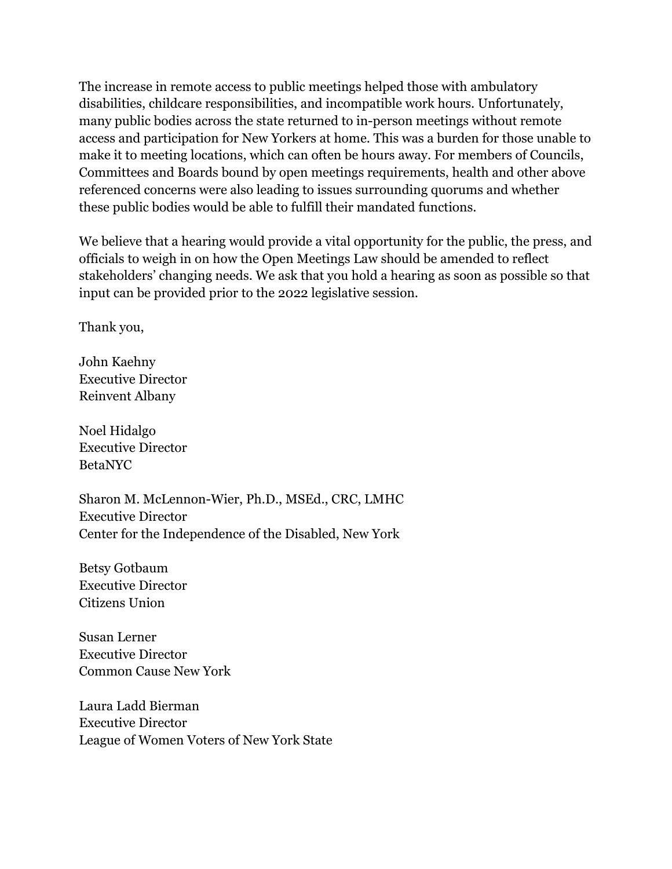The increase in remote access to public meetings helped those with ambulatory disabilities, childcare responsibilities, and incompatible work hours. Unfortunately, many public bodies across the state returned to in-person meetings without remote access and participation for New Yorkers at home. This was a burden for those unable to make it to meeting locations, which can often be hours away. For members of Councils, Committees and Boards bound by open meetings requirements, health and other above referenced concerns were also leading to issues surrounding quorums and whether these public bodies would be able to fulfill their mandated functions.

We believe that a hearing would provide a vital opportunity for the public, the press, and officials to weigh in on how the Open Meetings Law should be amended to reflect stakeholders' changing needs. We ask that you hold a hearing as soon as possible so that input can be provided prior to the 2022 legislative session.

Thank you,

John Kaehny Executive Director Reinvent Albany

Noel Hidalgo Executive Director BetaNYC

Sharon M. McLennon-Wier, Ph.D., MSEd., CRC, LMHC Executive Director Center for the Independence of the Disabled, New York

Betsy Gotbaum Executive Director Citizens Union

Susan Lerner Executive Director Common Cause New York

Laura Ladd Bierman Executive Director League of Women Voters of New York State